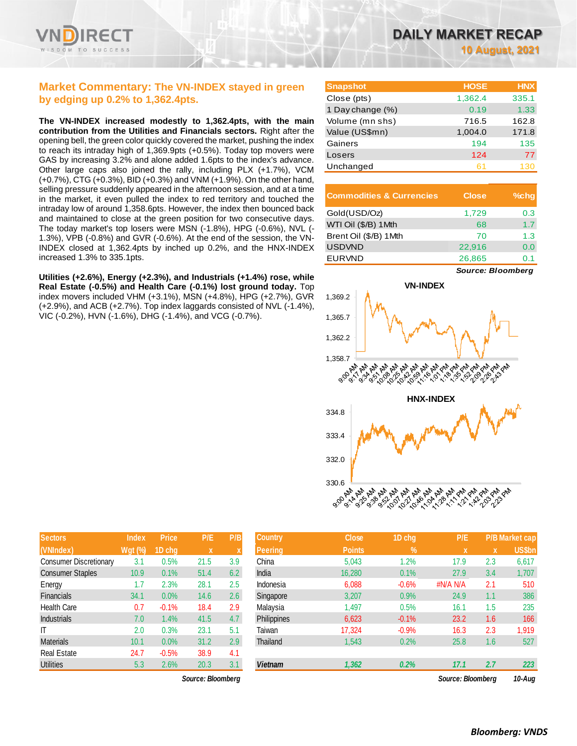

### **Market Commentary: The VN-INDEX stayed in green by edging up 0.2% to 1,362.4pts.**

**The VN-INDEX increased modestly to 1,362.4pts, with the main contribution from the Utilities and Financials sectors.** Right after the opening bell, the green color quickly covered the market, pushing the index to reach its intraday high of 1,369.9pts (+0.5%). Today top movers were GAS by increasing 3.2% and alone added 1.6pts to the index's advance. Other large caps also joined the rally, including PLX (+1.7%), VCM (+0.7%), CTG (+0.3%), BID (+0.3%) and VNM (+1.9%). On the other hand, selling pressure suddenly appeared in the afternoon session, and at a time in the market, it even pulled the index to red territory and touched the intraday low of around 1,358.6pts. However, the index then bounced back and maintained to close at the green position for two consecutive days. The today market's top losers were MSN (-1.8%), HPG (-0.6%), NVL (- 1.3%), VPB (-0.8%) and GVR (-0.6%). At the end of the session, the VN-INDEX closed at 1,362.4pts by inched up 0.2%, and the HNX-INDEX increased 1.3% to 335.1pts.

**Utilities (+2.6%), Energy (+2.3%), and Industrials (+1.4%) rose, while Real Estate (-0.5%) and Health Care (-0.1%) lost ground today.** Top index movers included VHM (+3.1%), MSN (+4.8%), HPG (+2.7%), GVR (+2.9%), and ACB (+2.7%). Top index laggards consisted of NVL (-1.4%), VIC (-0.2%), HVN (-1.6%), DHG (-1.4%), and VCG (-0.7%).

| <b>Snapshot</b>  | <b>HOSE</b> | <b>HNX</b> |
|------------------|-------------|------------|
| Close (pts)      | 1,362.4     | 335.1      |
| 1 Day change (%) | 0.19        | 1.33       |
| Volume (mn shs)  | 716.5       | 162.8      |
| Value (US\$mn)   | 1,004.0     | 171.8      |
| Gainers          | 194         | 135        |
| Losers           | 124         | 77         |
| Unchanged        | 61          | 130        |

| <b>Commodities &amp; Currencies</b> | <b>Close</b> | $%$ chq |
|-------------------------------------|--------------|---------|
| Gold(USD/Oz)                        | 1,729        | 0.3     |
| WTI Oil (\$/B) 1Mth                 | 68           | 1.7     |
| Brent Oil (\$/B) 1 Mth              | 70           | 1.3     |
| <b>USDVND</b>                       | 22.916       | 0.0     |
| <b>EURVND</b>                       | 26,865       | 0.1     |

*Source: Bloomberg*



| <b>Sectors</b>                | <b>Index</b>   | <b>Price</b> | P/E  | P/B |
|-------------------------------|----------------|--------------|------|-----|
| (VNIndex)                     | <b>Wgt (%)</b> | 1D chg       | X    | X   |
| <b>Consumer Discretionary</b> | 3.1            | 0.5%         | 21.5 | 3.9 |
| <b>Consumer Staples</b>       | 10.9           | 0.1%         | 51.4 | 6.2 |
| Energy                        | 1.7            | 2.3%         | 28.1 | 2.5 |
| Financials                    | 34.1           | 0.0%         | 14.6 | 2.6 |
| <b>Health Care</b>            | 0.7            | $-0.1%$      | 18.4 | 2.9 |
| <b>Industrials</b>            | 7.0            | 1.4%         | 41.5 | 4.7 |
| IΤ                            | 2.0            | 0.3%         | 23.1 | 5.1 |
| <b>Materials</b>              | 10.1           | 0.0%         | 31.2 | 2.9 |
| <b>Real Estate</b>            | 24.7           | $-0.5%$      | 38.9 | 4.1 |
| <b>Utilities</b>              | 5.3            | 2.6%         | 20.3 | 3.1 |

| <b>Sectors</b>                | <b>Index</b>   | <b>Price</b> | P/E               | P/B     | <b>Country</b> | <b>Close</b>  | 1D chg        | P/E               |     | <b>P/B Market cap</b> |
|-------------------------------|----------------|--------------|-------------------|---------|----------------|---------------|---------------|-------------------|-----|-----------------------|
| (VNIndex)                     | <b>Wgt (%)</b> | 1D chq       | X                 |         | <b>Peering</b> | <b>Points</b> | $\mathcal{A}$ | X                 | X   | US\$bn                |
| <b>Consumer Discretionary</b> | 3.1            | 0.5%         | 21.5              | 3.9     | China          | 5,043         | 1.2%          | 17.9              | 2.3 | 6,617                 |
| <b>Consumer Staples</b>       | 10.9           | 0.1%         | 51.4              | 6.2     | India          | 16,280        | 0.1%          | 27.9              | 3.4 | 1,707                 |
| Energy                        | 1.7            | 2.3%         | 28.1              | $2.5\,$ | Indonesia      | 6,088         | $-0.6%$       | #N/A N/A          | 2.1 | 510                   |
| <b>Financials</b>             | 34.1           | 0.0%         | 14.6              | 2.6     | Singapore      | 3,207         | 0.9%          | 24.9              | 1.1 | 386                   |
| Health Care                   | 0.7            | $-0.1%$      | 18.4              | 2.9     | Malaysia       | 1,497         | 0.5%          | 16.1              | 1.5 | 235                   |
| <b>Industrials</b>            | 7.0            | 1.4%         | 41.5              | 4.7     | Philippines    | 6,623         | $-0.1%$       | 23.2              | 1.6 | 166                   |
| ΙT                            | 2.0            | 0.3%         | 23.1              | 5.1     | Taiwan         | 17.324        | $-0.9%$       | 16.3              | 2.3 | 1,919                 |
| <b>Materials</b>              | 10.1           | 0.0%         | 31.2              | 2.9     | Thailand       | 1,543         | 0.2%          | 25.8              | 1.6 | 527                   |
| Real Estate                   | 24.7           | $-0.5%$      | 38.9              | 4.1     |                |               |               |                   |     |                       |
| <b>Utilities</b>              | 5.3            | 2.6%         | 20.3              | 3.1     | <b>Vietnam</b> | 1,362         | 0.2%          | 17.1              | 2.7 | 223                   |
|                               |                |              | Source: Bloombera |         |                |               |               | Source: Bloombera |     | 10-Aug                |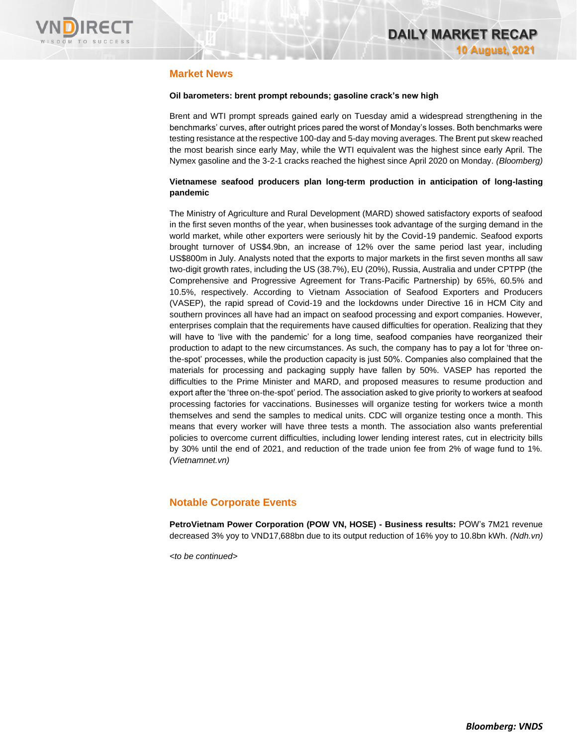

### **Market News**

#### **Oil barometers: brent prompt rebounds; gasoline crack's new high**

Brent and WTI prompt spreads gained early on Tuesday amid a widespread strengthening in the benchmarks' curves, after outright prices pared the worst of Monday's losses. Both benchmarks were testing resistance at the respective 100-day and 5-day moving averages. The Brent put skew reached the most bearish since early May, while the WTI equivalent was the highest since early April. The Nymex gasoline and the 3-2-1 cracks reached the highest since April 2020 on Monday. *(Bloomberg)*

#### **Vietnamese seafood producers plan long-term production in anticipation of long-lasting pandemic**

The Ministry of Agriculture and Rural Development (MARD) showed satisfactory exports of seafood in the first seven months of the year, when businesses took advantage of the surging demand in the world market, while other exporters were seriously hit by the Covid-19 pandemic. Seafood exports brought turnover of US\$4.9bn, an increase of 12% over the same period last year, including US\$800m in July. Analysts noted that the exports to major markets in the first seven months all saw two-digit growth rates, including the US (38.7%), EU (20%), Russia, Australia and under CPTPP (the Comprehensive and Progressive Agreement for Trans-Pacific Partnership) by 65%, 60.5% and 10.5%, respectively. According to Vietnam Association of Seafood Exporters and Producers (VASEP), the rapid spread of Covid-19 and the lockdowns under Directive 16 in HCM City and southern provinces all have had an impact on seafood processing and export companies. However, enterprises complain that the requirements have caused difficulties for operation. Realizing that they will have to 'live with the pandemic' for a long time, seafood companies have reorganized their production to adapt to the new circumstances. As such, the company has to pay a lot for 'three onthe-spot' processes, while the production capacity is just 50%. Companies also complained that the materials for processing and packaging supply have fallen by 50%. VASEP has reported the difficulties to the Prime Minister and MARD, and proposed measures to resume production and export after the 'three on-the-spot' period. The association asked to give priority to workers at seafood processing factories for vaccinations. Businesses will organize testing for workers twice a month themselves and send the samples to medical units. CDC will organize testing once a month. This means that every worker will have three tests a month. The association also wants preferential policies to overcome current difficulties, including lower lending interest rates, cut in electricity bills by 30% until the end of 2021, and reduction of the trade union fee from 2% of wage fund to 1%. *(Vietnamnet.vn)*

### **Notable Corporate Events**

**PetroVietnam Power Corporation (POW VN, HOSE) - Business results:** POW's 7M21 revenue decreased 3% yoy to VND17,688bn due to its output reduction of 16% yoy to 10.8bn kWh. *(Ndh.vn)*

*<to be continued>*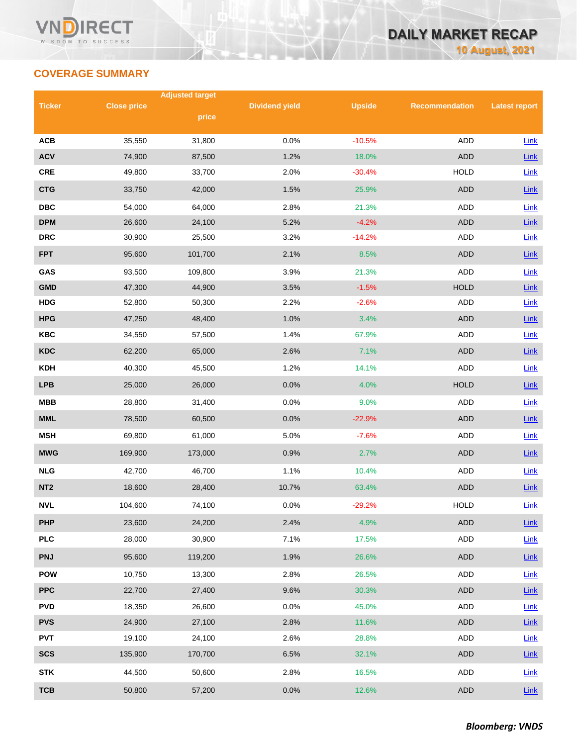## **COVERAGE SUMMARY**

|                 |                    | <b>Adjusted target</b> |                       |               |                       |                      |
|-----------------|--------------------|------------------------|-----------------------|---------------|-----------------------|----------------------|
| <b>Ticker</b>   | <b>Close price</b> | price                  | <b>Dividend yield</b> | <b>Upside</b> | <b>Recommendation</b> | <b>Latest report</b> |
|                 |                    |                        |                       |               |                       |                      |
| <b>ACB</b>      | 35,550             | 31,800                 | 0.0%                  | $-10.5%$      | <b>ADD</b>            | Link                 |
| <b>ACV</b>      | 74,900             | 87,500                 | 1.2%                  | 18.0%         | <b>ADD</b>            | Link                 |
| <b>CRE</b>      | 49,800             | 33,700                 | 2.0%                  | $-30.4%$      | <b>HOLD</b>           | Link                 |
| <b>CTG</b>      | 33,750             | 42,000                 | 1.5%                  | 25.9%         | <b>ADD</b>            | Link                 |
| <b>DBC</b>      | 54,000             | 64,000                 | 2.8%                  | 21.3%         | ADD                   | Link                 |
| <b>DPM</b>      | 26,600             | 24,100                 | 5.2%                  | $-4.2%$       | <b>ADD</b>            | Link                 |
| <b>DRC</b>      | 30,900             | 25,500                 | 3.2%                  | $-14.2%$      | <b>ADD</b>            | Link                 |
| <b>FPT</b>      | 95,600             | 101,700                | 2.1%                  | 8.5%          | <b>ADD</b>            | Link                 |
| GAS             | 93,500             | 109,800                | 3.9%                  | 21.3%         | <b>ADD</b>            | Link                 |
| <b>GMD</b>      | 47,300             | 44,900                 | 3.5%                  | $-1.5%$       | <b>HOLD</b>           | Link                 |
| <b>HDG</b>      | 52,800             | 50,300                 | 2.2%                  | $-2.6%$       | ADD                   | Link                 |
| <b>HPG</b>      | 47,250             | 48,400                 | 1.0%                  | 3.4%          | <b>ADD</b>            | Link                 |
| <b>KBC</b>      | 34,550             | 57,500                 | 1.4%                  | 67.9%         | ADD                   | Link                 |
| <b>KDC</b>      | 62,200             | 65,000                 | 2.6%                  | 7.1%          | <b>ADD</b>            | Link                 |
| <b>KDH</b>      | 40,300             | 45,500                 | 1.2%                  | 14.1%         | ADD                   | Link                 |
| <b>LPB</b>      | 25,000             | 26,000                 | 0.0%                  | 4.0%          | <b>HOLD</b>           | Link                 |
| <b>MBB</b>      | 28,800             | 31,400                 | 0.0%                  | 9.0%          | ADD                   | Link                 |
| <b>MML</b>      | 78,500             | 60,500                 | 0.0%                  | $-22.9%$      | <b>ADD</b>            | Link                 |
| <b>MSH</b>      | 69,800             | 61,000                 | 5.0%                  | $-7.6%$       | ADD                   | Link                 |
| <b>MWG</b>      | 169,900            | 173,000                | 0.9%                  | 2.7%          | <b>ADD</b>            | Link                 |
| <b>NLG</b>      | 42,700             | 46,700                 | 1.1%                  | 10.4%         | ADD                   | Link                 |
| NT <sub>2</sub> | 18,600             | 28,400                 | 10.7%                 | 63.4%         | <b>ADD</b>            | Link                 |
| <b>NVL</b>      | 104,600            | 74,100                 | 0.0%                  | $-29.2%$      | <b>HOLD</b>           | Link                 |
| <b>PHP</b>      | 23,600             | 24,200                 | 2.4%                  | 4.9%          | ADD                   | Link                 |
| <b>PLC</b>      | 28,000             | 30,900                 | 7.1%                  | 17.5%         | ADD                   | Link                 |
| <b>PNJ</b>      | 95,600             | 119,200                | 1.9%                  | 26.6%         | ADD                   | Link                 |
| <b>POW</b>      | 10,750             | 13,300                 | 2.8%                  | 26.5%         | ADD                   | Link                 |
| <b>PPC</b>      | 22,700             | 27,400                 | 9.6%                  | 30.3%         | ADD                   | Link                 |
| <b>PVD</b>      | 18,350             | 26,600                 | 0.0%                  | 45.0%         | ADD                   | Link                 |
| <b>PVS</b>      | 24,900             | 27,100                 | 2.8%                  | 11.6%         | <b>ADD</b>            | $Link$               |
| <b>PVT</b>      | 19,100             | 24,100                 | 2.6%                  | 28.8%         | ADD                   | Link                 |
| <b>SCS</b>      | 135,900            | 170,700                | 6.5%                  | 32.1%         | ADD                   | <b>Link</b>          |
| <b>STK</b>      | 44,500             | 50,600                 | 2.8%                  | 16.5%         | ADD                   | Link                 |
| <b>TCB</b>      | 50,800             | 57,200                 | 0.0%                  | 12.6%         | <b>ADD</b>            | Link                 |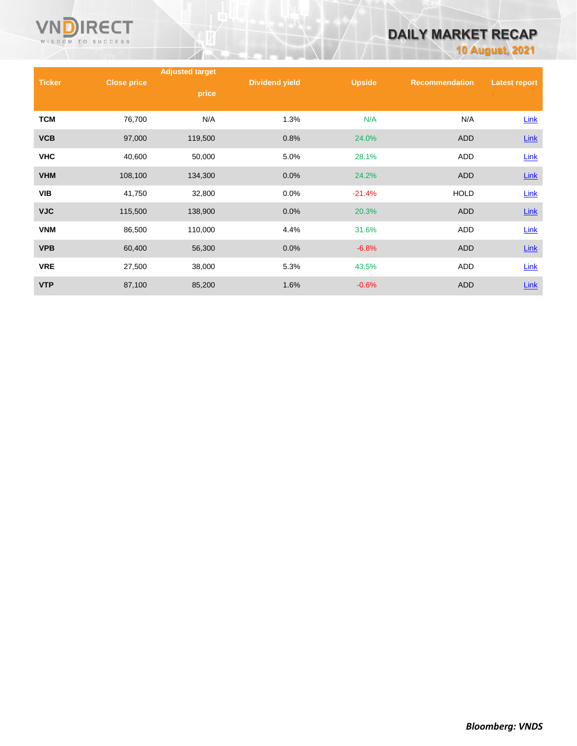

# **DAILY MARKET RECAP**

**10 August, 2021**

|               |                    | <b>Adjusted target</b> |                       |               |                       |                      |  |
|---------------|--------------------|------------------------|-----------------------|---------------|-----------------------|----------------------|--|
| <b>Ticker</b> | <b>Close price</b> | price                  | <b>Dividend yield</b> | <b>Upside</b> | <b>Recommendation</b> | <b>Latest report</b> |  |
| <b>TCM</b>    | 76,700             | N/A                    | 1.3%                  | N/A           | N/A                   | Link                 |  |
| <b>VCB</b>    | 97,000             | 119,500                | 0.8%                  | 24.0%         | <b>ADD</b>            | $Link$               |  |
| <b>VHC</b>    | 40,600             | 50,000                 | 5.0%                  | 28.1%         | ADD                   | Link                 |  |
| <b>VHM</b>    | 108,100            | 134,300                | 0.0%                  | 24.2%         | <b>ADD</b>            | <b>Link</b>          |  |
| <b>VIB</b>    | 41,750             | 32,800                 | 0.0%                  | $-21.4%$      | <b>HOLD</b>           | Link                 |  |
| <b>VJC</b>    | 115,500            | 138,900                | 0.0%                  | 20.3%         | <b>ADD</b>            | <b>Link</b>          |  |
| <b>VNM</b>    | 86,500             | 110,000                | 4.4%                  | 31.6%         | <b>ADD</b>            | $Link$               |  |
| <b>VPB</b>    | 60,400             | 56,300                 | 0.0%                  | $-6.8%$       | <b>ADD</b>            | <b>Link</b>          |  |
| <b>VRE</b>    | 27,500             | 38,000                 | 5.3%                  | 43.5%         | <b>ADD</b>            | $Link$               |  |
| <b>VTP</b>    | 87,100             | 85,200                 | 1.6%                  | $-0.6%$       | <b>ADD</b>            | $Link$               |  |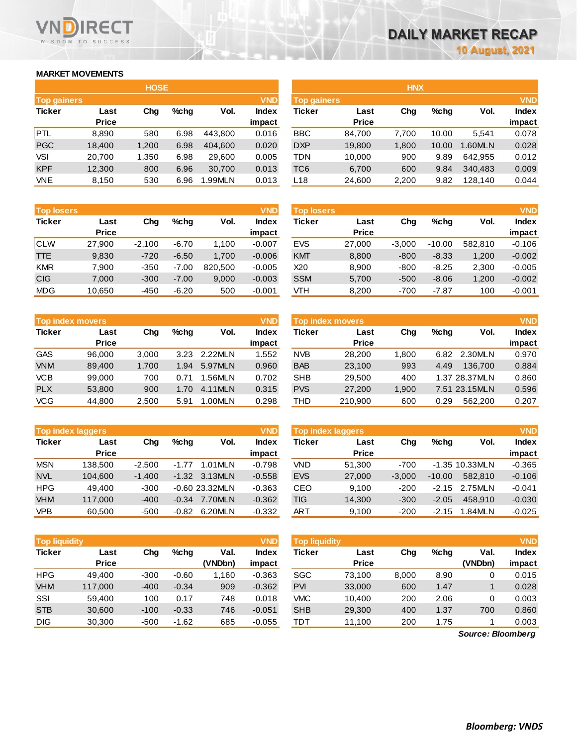### **MARKET MOVEMENTS**

WISDOM TO SUCCESS

**RECT** 

|                    | <b>HOSE</b>  |       |         |         |              |  |  |  |  |  |
|--------------------|--------------|-------|---------|---------|--------------|--|--|--|--|--|
| <b>Top gainers</b> |              |       |         |         | <b>VND</b>   |  |  |  |  |  |
| <b>Ticker</b>      | Last         | Cha   | $%$ chq | Vol.    | <b>Index</b> |  |  |  |  |  |
|                    | <b>Price</b> |       |         |         | impact       |  |  |  |  |  |
| PTL.               | 8,890        | 580   | 6.98    | 443.800 | 0.016        |  |  |  |  |  |
| <b>PGC</b>         | 18,400       | 1,200 | 6.98    | 404.600 | 0.020        |  |  |  |  |  |
| VSI                | 20,700       | 1,350 | 6.98    | 29,600  | 0.005        |  |  |  |  |  |
| <b>KPF</b>         | 12,300       | 800   | 6.96    | 30,700  | 0.013        |  |  |  |  |  |
| <b>VNE</b>         | 8,150        | 530   | 6.96    | 1.99MLN | 0.013        |  |  |  |  |  |

|                                  |              | <b>HOSE</b> |      |               |              |            |                                  | <b>HNX</b> |         |         |        |
|----------------------------------|--------------|-------------|------|---------------|--------------|------------|----------------------------------|------------|---------|---------|--------|
| <b>VND</b><br><b>Top gainers</b> |              |             |      |               |              |            | <b>VND</b><br><b>Top gainers</b> |            |         |         |        |
| Ticker                           | Last         | Chg         | %chq | Vol.          | <b>Index</b> | Ticker     | Last                             | Chg        | $%$ chg | Vol.    | Index  |
|                                  | <b>Price</b> |             |      |               | impact       |            | <b>Price</b>                     |            |         |         | impact |
| <b>PTL</b>                       | 8,890        | 580         | 6.98 | 443.800       | 0.016        | <b>BBC</b> | 84,700                           | 7.700      | 10.00   | 5.541   | 0.078  |
| <b>PGC</b>                       | 18,400       | 1,200       | 6.98 | 404,600       | 0.020        | <b>DXP</b> | 19,800                           | 1,800      | 10.00   | 1.60MLN | 0.028  |
| VSI                              | 20,700       | 1,350       | 6.98 | 29,600        | 0.005        | TDN        | 10,000                           | 900        | 9.89    | 642.955 | 0.012  |
| <b>KPF</b>                       | 12,300       | 800         | 6.96 | 30,700        | 0.013        | TC6        | 6,700                            | 600        | 9.84    | 340,483 | 0.009  |
| <b>VNE</b>                       | 8,150        | 530         | 6.96 | <b>.99MLN</b> | 0.013        | L18        | 24,600                           | 2,200      | 9.82    | 128,140 | 0.044  |

| <b>Top losers</b>     |              |          |         |         | <b>VND</b>   |
|-----------------------|--------------|----------|---------|---------|--------------|
| <b>Ticker</b><br>Last |              | Cha      | $%$ chq | Vol.    | <b>Index</b> |
|                       | <b>Price</b> |          |         |         | impact       |
| <b>CLW</b>            | 27,900       | $-2,100$ | $-6.70$ | 1,100   | $-0.007$     |
| TTE.                  | 9,830        | $-720$   | $-6.50$ | 1,700   | $-0.006$     |
| <b>KMR</b>            | 7,900        | $-350$   | $-7.00$ | 820.500 | $-0.005$     |
| <b>CIG</b>            | 7.000        | $-300$   | $-7.00$ | 9,000   | $-0.003$     |
| <b>MDG</b>            | 10,650       | $-450$   | $-6.20$ | 500     | $-0.001$     |

| <b>Top index movers</b> |              |       |      |         |              |  |  |  |  |
|-------------------------|--------------|-------|------|---------|--------------|--|--|--|--|
| <b>Ticker</b>           | Last         | Cha   | %chq | Vol.    | <b>Index</b> |  |  |  |  |
|                         | <b>Price</b> |       |      |         | impact       |  |  |  |  |
| <b>GAS</b>              | 96,000       | 3,000 | 3.23 | 2.22MLN | 1.552        |  |  |  |  |
| <b>VNM</b>              | 89,400       | 1,700 | 1.94 | 5.97MLN | 0.960        |  |  |  |  |
| <b>VCB</b>              | 99.000       | 700   | 0.71 | 1.56MLN | 0.702        |  |  |  |  |
| <b>PLX</b>              | 53,800       | 900   | 1.70 | 4.11MLN | 0.315        |  |  |  |  |
| <b>VCG</b>              | 44,800       | 2,500 | 5.91 | 1.00MLN | 0.298        |  |  |  |  |

| <b>Top index laggers</b> |              |          |         |                 |          |  |  |  |  |
|--------------------------|--------------|----------|---------|-----------------|----------|--|--|--|--|
| <b>Ticker</b>            | Last         | Cha      | $%$ chq | Vol.            | Index    |  |  |  |  |
|                          | <b>Price</b> |          |         |                 | impact   |  |  |  |  |
| <b>MSN</b>               | 138,500      | $-2,500$ | $-1.77$ | 1.01 MLN        | $-0.798$ |  |  |  |  |
| <b>NVL</b>               | 104.600      | $-1,400$ |         | $-1.32$ 3.13MLN | $-0.558$ |  |  |  |  |
| <b>HPG</b>               | 49.400       | $-300$   |         | $-0.6023.32MLN$ | $-0.363$ |  |  |  |  |
| <b>VHM</b>               | 117.000      | $-400$   | $-0.34$ | 7.70MLN         | $-0.362$ |  |  |  |  |
| <b>VPB</b>               | 60,500       | $-500$   | $-0.82$ | 6.20MLN         | $-0.332$ |  |  |  |  |

|               | <b>VND</b><br>Top liquidity |        |         |         |          | <b>Top liquidity</b> |              |       |         |         | <b>VND</b> |
|---------------|-----------------------------|--------|---------|---------|----------|----------------------|--------------|-------|---------|---------|------------|
| <b>Ticker</b> | Last                        | Chg    | %chq    | Val.    | Index    | Ticker               | Last         | Chg   | $%$ chq | Val.    | Index      |
|               | <b>Price</b>                |        |         | (VNDbn) | impact   |                      | <b>Price</b> |       |         | (VNDbn) | impact     |
| <b>HPG</b>    | 49.400                      | $-300$ | $-0.60$ | 1.160   | $-0.363$ | SGC                  | 73.100       | 8,000 | 8.90    | 0       | 0.015      |
| <b>VHM</b>    | 117.000                     | $-400$ | $-0.34$ | 909     | $-0.362$ | <b>PVI</b>           | 33,000       | 600   | 1.47    |         | 0.028      |
| SSI           | 59.400                      | 100    | 0.17    | 748     | 0.018    | <b>VMC</b>           | 10.400       | 200   | 2.06    | 0       | 0.003      |
| <b>STB</b>    | 30,600                      | $-100$ | $-0.33$ | 746     | $-0.051$ | <b>SHB</b>           | 29,300       | 400   | 1.37    | 700     | 0.860      |
| <b>DIG</b>    | 30,300                      | $-500$ | $-1.62$ | 685     | $-0.055$ | тот                  | 11.100       | 200   | 1.75    |         | 0.003      |

| <b>Top losers</b> |                      |          |         |         | <b>VND</b>      | <b>Top losers</b> |                      |          |          |         | <b>VND</b>             |
|-------------------|----------------------|----------|---------|---------|-----------------|-------------------|----------------------|----------|----------|---------|------------------------|
| Ticker            | Last<br><b>Price</b> | Chg      | %chq    | Vol.    | Index<br>impact | Ticker            | Last<br><b>Price</b> | Chg      | $%$ chq  | Vol.    | <b>Index</b><br>impact |
| CLW               | 27,900               | $-2.100$ | $-6.70$ | 1,100   | $-0.007$        | <b>EVS</b>        | 27,000               | $-3.000$ | $-10.00$ | 582.810 | $-0.106$               |
| TTE               | 9,830                | $-720$   | $-6.50$ | 1.700   | $-0.006$        | <b>KMT</b>        | 8,800                | $-800$   | $-8.33$  | 1,200   | $-0.002$               |
| <b>KMR</b>        | 7.900                | $-350$   | $-7.00$ | 820.500 | $-0.005$        | X20               | 8.900                | $-800$   | $-8.25$  | 2.300   | $-0.005$               |
| <b>CIG</b>        | 7,000                | $-300$   | $-7.00$ | 9,000   | $-0.003$        | <b>SSM</b>        | 5,700                | $-500$   | $-8.06$  | 1,200   | $-0.002$               |
| MDG               | 10,650               | $-450$   | $-6.20$ | 500     | $-0.001$        | VTH               | 8,200                | $-700$   | $-7.87$  | 100     | $-0.001$               |

|            | <b>Top index movers</b> |       |      |               | <b>VND</b>   |            | <b>Top index movers</b> |       |         |               | <b>VND</b> |
|------------|-------------------------|-------|------|---------------|--------------|------------|-------------------------|-------|---------|---------------|------------|
| Ticker     | Last                    | Chg   | %chq | Vol.          | <b>Index</b> | Ticker     | Last                    | Chg   | $%$ chq | Vol.          | Index      |
|            | <b>Price</b>            |       |      |               | impact       |            | <b>Price</b>            |       |         |               | impact     |
| GAS        | 96.000                  | 3.000 | 3.23 | 2.22MLN       | 1.552        | <b>NVB</b> | 28,200                  | 1.800 | 6.82    | 2.30MLN       | 0.970      |
| <b>VNM</b> | 89.400                  | 1.700 | 1.94 | 5.97MLN       | 0.960        | <b>BAB</b> | 23,100                  | 993   | 4.49    | 136.700       | 0.884      |
| <b>VCB</b> | 99.000                  | 700   | 0.71 | <b>.56MLN</b> | 0.702        | <b>SHB</b> | 29.500                  | 400   |         | 1.37 28.37MLN | 0.860      |
| <b>PLX</b> | 53,800                  | 900   | 1.70 | 4.11MLN       | 0.315        | <b>PVS</b> | 27,200                  | 1.900 |         | 7.51 23.15MLN | 0.596      |
| VCG        | 44.800                  | 2,500 | 5.91 | L00MLN        | 0.298        | THD        | 210.900                 | 600   | 0.29    | 562.200       | 0.207      |

| <b>VND</b><br><b>Top index laggers</b> |              |          |         |                 |          |            | <b>Top index laggers</b> |          |          |                  | <b>VND</b> |
|----------------------------------------|--------------|----------|---------|-----------------|----------|------------|--------------------------|----------|----------|------------------|------------|
| Ticker                                 | Last         | Chg      | %chq    | Vol.            | Index    | Ticker     | Last                     | Chg      | $%$ chq  | Vol.             | Index      |
|                                        | <b>Price</b> |          |         |                 | impact   |            | <b>Price</b>             |          |          |                  | impact     |
| <b>MSN</b>                             | 138.500      | $-2.500$ | $-1.77$ | 1.01MLN         | $-0.798$ | VND        | 51.300                   | $-700$   |          | $-1.35$ 10.33MLN | $-0.365$   |
| <b>NVL</b>                             | 104,600      | $-1.400$ | $-1.32$ | 3.13MLN         | $-0.558$ | <b>EVS</b> | 27,000                   | $-3.000$ | $-10.00$ | 582.810          | $-0.106$   |
| <b>HPG</b>                             | 49.400       | $-300$   |         | $-0.6023.32MLN$ | $-0.363$ | CEO        | 9.100                    | $-200$   | $-2.15$  | 2.75MLN          | $-0.041$   |
| <b>VHM</b>                             | 117,000      | $-400$   | $-0.34$ | 7.70MLN         | $-0.362$ | TIG        | 14,300                   | $-300$   | $-2.05$  | 458.910          | $-0.030$   |
| <b>VPB</b>                             | 60,500       | $-500$   | $-0.82$ | 6.20MLN         | $-0.332$ | ART        | 9.100                    | $-200$   | $-2.15$  | 1.84MLN          | $-0.025$   |

| <b>Top liquidity</b> |              |        |         |         | <b>VND</b> | <b>Top liquidity</b> |              |       |         |         | <b>VND</b>   |
|----------------------|--------------|--------|---------|---------|------------|----------------------|--------------|-------|---------|---------|--------------|
| Ticker               | Last         | Chg    | $%$ chq | Val.    | Index      | Ticker               | Last         | Chg   | $%$ chq | Val.    | <b>Index</b> |
|                      | <b>Price</b> |        |         | (VNDbn) | impact     |                      | <b>Price</b> |       |         | (VNDbn) | impact       |
| HPG                  | 49.400       | $-300$ | $-0.60$ | 1.160   | $-0.363$   | SGC                  | 73.100       | 8,000 | 8.90    |         | 0.015        |
| <b>VHM</b>           | 117.000      | $-400$ | $-0.34$ | 909     | $-0.362$   | <b>PVI</b>           | 33,000       | 600   | 1.47    |         | 0.028        |
| SSI                  | 59.400       | 100    | 0.17    | 748     | 0.018      | VMC                  | 10.400       | 200   | 2.06    |         | 0.003        |
| <b>STB</b>           | 30.600       | $-100$ | $-0.33$ | 746     | $-0.051$   | <b>SHB</b>           | 29,300       | 400   | 1.37    | 700     | 0.860        |
| <b>DIG</b>           | 30,300       | $-500$ | $-1.62$ | 685     | $-0.055$   | тот                  | 11,100       | 200   | 1.75    |         | 0.003        |

*Source: Bloomberg*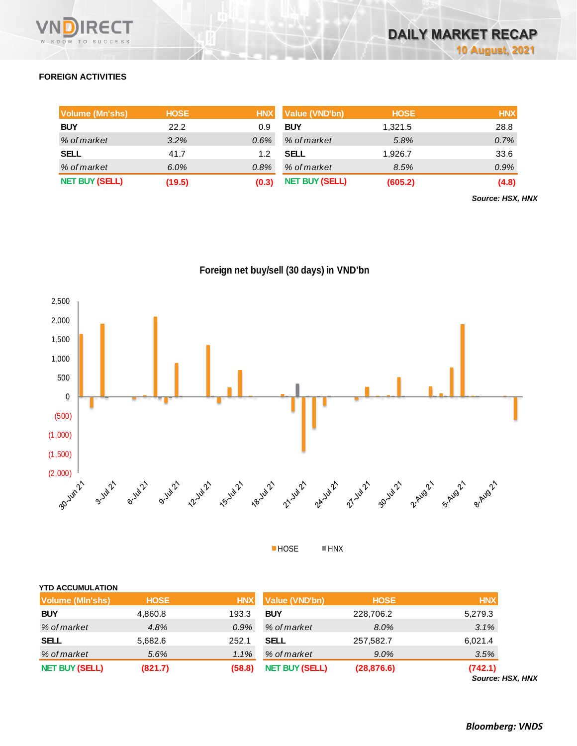

### **FOREIGN ACTIVITIES**

| Volume (Mn'shs)       | <b>HOSE</b> | <b>HNX</b> | Value (VND'bn)        | <b>HOSE</b> | <b>HNX</b> |
|-----------------------|-------------|------------|-----------------------|-------------|------------|
| <b>BUY</b>            | 22.2        | 0.9        | <b>BUY</b>            | 1,321.5     | 28.8       |
| % of market           | $3.2\%$     | $0.6\%$    | % of market           | 5.8%        | 0.7%       |
| <b>SELL</b>           | 41.7        |            | <b>SELL</b>           | 1,926.7     | 33.6       |
| % of market           | $6.0\%$     | 0.8%       | % of market           | 8.5%        | 0.9%       |
| <b>NET BUY (SELL)</b> | (19.5)      | (0.3)      | <b>NET BUY (SELL)</b> | (605.2)     | (4.8)      |

*Source: HSX, HNX*





■HOSE ■HNX

| <b>YTD ACCUMULATION</b> |
|-------------------------|

| Volume (MIn'shs)      | <b>HOSE</b> | <b>HNX</b> | Value (VND'bn)        | <b>HOSE</b> | <b>HNX</b> |
|-----------------------|-------------|------------|-----------------------|-------------|------------|
| <b>BUY</b>            | 4,860.8     | 193.3      | <b>BUY</b>            | 228,706.2   | 5,279.3    |
| % of market           | 4.8%        | $0.9\%$    | % of market           | 8.0%        | 3.1%       |
| <b>SELL</b>           | 5,682.6     | 252.1      | SELL                  | 257,582.7   | 6,021.4    |
| % of market           | 5.6%        | 1.1%       | % of market           | $9.0\%$     | 3.5%       |
| <b>NET BUY (SELL)</b> | (821.7)     | (58.8)     | <b>NET BUY (SELL)</b> | (28, 876.6) | (742.1)    |

*Source: HSX, HNX*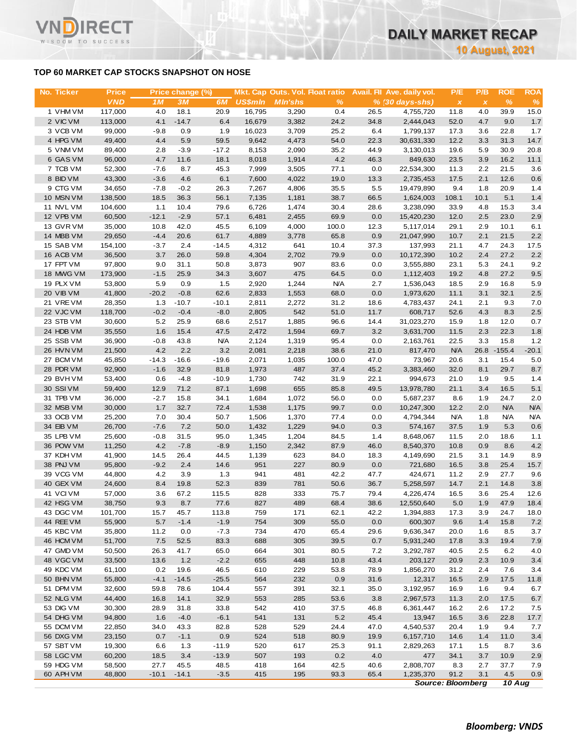### **TOP 60 MARKET CAP STOCKS SNAPSHOT ON HOSE**

T.

WISDOM TO SUCCESS

| No. Ticker             | <b>Price</b>      |                  | Price change (%) |                   |                | Mkt. Cap Outs. Vol. Float ratio |               |              | Avail. Fil Ave. daily vol. | P/E                | P/B          | <b>ROE</b>       | <b>ROA</b>     |
|------------------------|-------------------|------------------|------------------|-------------------|----------------|---------------------------------|---------------|--------------|----------------------------|--------------------|--------------|------------------|----------------|
|                        | <b>VND</b>        | 1M               | 3M               | 6M                | <b>US\$mln</b> | <b>MIn'shs</b>                  | $\frac{9}{6}$ |              | $% (30 days-shs)$          | $\pmb{\chi}$       | $\pmb{\chi}$ | $\%$             | %              |
| 1 VHM VM               | 117,000           | 4.0              | 18.1             | 20.9              | 16,795         | 3,290                           | 0.4           | 26.5         | 4,755,720                  | 11.8               | 4.0          | 39.9             | 15.0           |
| 2 VIC VM               | 113,000           | 4.1              | $-14.7$          | 6.4               | 16,679         | 3,382                           | 24.2          | 34.8         | 2,444,043                  | 52.0               | 4.7          | 9.0              | 1.7            |
| 3 VCB VM               | 99,000            | $-9.8$           | 0.9              | 1.9               | 16,023         | 3,709                           | 25.2          | 6.4          | 1,799,137                  | 17.3               | 3.6          | 22.8             | 1.7            |
| 4 HPG VM<br>5 VNM VM   | 49,400<br>89,400  | 4.4<br>2.8       | 5.9<br>$-3.9$    | 59.5<br>$-17.2$   | 9,642<br>8,153 | 4,473<br>2,090                  | 54.0<br>35.2  | 22.3<br>44.9 | 30,631,330<br>3,130,013    | 12.2<br>19.6       | 3.3<br>5.9   | 31.3<br>30.9     | 14.7<br>20.8   |
| 6 GAS VM               | 96,000            | 4.7              | 11.6             | 18.1              | 8,018          | 1,914                           | 4.2           | 46.3         | 849,630                    | 23.5               | 3.9          | 16.2             | 11.1           |
| 7 TCB VM               | 52,300            | $-7.6$           | 8.7              | 45.3              | 7,999          | 3,505                           | 77.1          | 0.0          | 22,534,300                 | 11.3               | 2.2          | 21.5             | 3.6            |
| 8 BID VM               | 43,300            | $-3.6$           | 4.6              | 6.1               | 7,600          | 4,022                           | 19.0          | 13.3         | 2,735,453                  | 17.5               | 2.1          | 12.6             | 0.6            |
| 9 CTG VM               | 34,650            | $-7.8$           | $-0.2$           | 26.3              | 7,267          | 4,806                           | 35.5          | 5.5          | 19,479,890                 | 9.4                | 1.8          | 20.9             | 1.4            |
| 10 MSN VM              | 138,500           | 18.5             | 36.3             | 56.1              | 7,135          | 1,181                           | 38.7          | 66.5         | 1,624,003                  | 108.1              | 10.1         | 5.1              | 1.4            |
| 11 NVL VM              | 104,600           | 1.1              | 10.4             | 79.6              | 6,726          | 1,474                           | 30.4          | 28.6         | 3,238,090                  | 33.9               | 4.8          | 15.3             | 3.4            |
| 12 VPB VM              | 60,500            | $-12.1$          | $-2.9$           | 57.1              | 6,481          | 2,455                           | 69.9          | 0.0          | 15,420,230                 | 12.0               | 2.5          | 23.0             | 2.9            |
| 13 GVR VM              | 35,000            | 10.8             | 42.0             | 45.5              | 6,109          | 4,000                           | 100.0         | 12.3         | 5,117,014                  | 29.1               | 2.9          | 10.1             | 6.1            |
| 14 MBB VM<br>15 SAB VM | 29,650<br>154,100 | $-4.4$<br>$-3.7$ | 20.6<br>2.4      | 61.7<br>$-14.5$   | 4,889<br>4,312 | 3,778<br>641                    | 65.8<br>10.4  | 0.9<br>37.3  | 21,047,990<br>137,993      | 10.7<br>21.1       | 2.1<br>4.7   | 21.5<br>24.3     | 2.2<br>17.5    |
| 16 ACB VM              | 36,500            | 3.7              | 26.0             | 59.8              | 4,304          | 2,702                           | 79.9          | 0.0          | 10,172,390                 | 10.2               | 2.4          | 27.2             | $2.2\,$        |
| 17 FPT VM              | 97,800            | 9.0              | 31.1             | 50.8              | 3,873          | 907                             | 83.6          | 0.0          | 3,555,880                  | 23.1               | 5.3          | 24.1             | 9.2            |
| 18 MWG VM              | 173,900           | $-1.5$           | 25.9             | 34.3              | 3,607          | 475                             | 64.5          | 0.0          | 1,112,403                  | 19.2               | 4.8          | 27.2             | 9.5            |
| 19 PLX VM              | 53,800            | 5.9              | 0.9              | 1.5               | 2,920          | 1,244                           | <b>N/A</b>    | 2.7          | 1,536,043                  | 18.5               | 2.9          | 16.8             | 5.9            |
| 20 VIB VM              | 41,800            | $-20.2$          | $-0.8$           | 62.6              | 2,833          | 1,553                           | 68.0          | 0.0          | 1,973,620                  | 11.1               | 3.1          | 32.1             | 2.5            |
| 21 VREVM               | 28,350            | 1.3              | $-10.7$          | $-10.1$           | 2,811          | 2,272                           | 31.2          | 18.6         | 4,783,437                  | 24.1               | 2.1          | 9.3              | 7.0            |
| 22 VJC VM              | 118,700           | $-0.2$           | $-0.4$           | $-8.0$            | 2,805          | 542                             | 51.0          | 11.7         | 608,717                    | 52.6               | 4.3          | 8.3              | 2.5            |
| 23 STB VM              | 30,600            | 5.2              | 25.9             | 68.6              | 2,517          | 1,885                           | 96.6          | 14.4         | 31,023,270                 | 15.9               | 1.8          | 12.0             | 0.7            |
| 24 HDB VM              | 35,550            | 1.6              | 15.4             | 47.5              | 2,472          | 1,594                           | 69.7          | 3.2          | 3,631,700                  | 11.5               | 2.3          | 22.3             | 1.8            |
| 25 SSB VM<br>26 HVN VM | 36,900<br>21,500  | $-0.8$<br>4.2    | 43.8<br>2.2      | <b>N/A</b><br>3.2 | 2,124<br>2,081 | 1,319<br>2,218                  | 95.4<br>38.6  | 0.0<br>21.0  | 2,163,761<br>817,470       | 22.5<br><b>N/A</b> | 3.3<br>26.8  | 15.8<br>$-155.4$ | 1.2<br>$-20.1$ |
| 27 BCM VM              | 45,850            | $-14.3$          | $-16.6$          | $-19.6$           | 2,071          | 1,035                           | 100.0         | 47.0         | 73,967                     | 20.6               | 3.1          | 15.4             | 5.0            |
| 28 PDR VM              | 92,900            | $-1.6$           | 32.9             | 81.8              | 1,973          | 487                             | 37.4          | 45.2         | 3,383,460                  | 32.0               | 8.1          | 29.7             | 8.7            |
| 29 BVHVM               | 53,400            | 0.6              | $-4.8$           | $-10.9$           | 1,730          | 742                             | 31.9          | 22.1         | 994,673                    | 21.0               | 1.9          | 9.5              | 1.4            |
| 30 SSIVM               | 59,400            | 12.9             | 71.2             | 87.1              | 1,698          | 655                             | 85.8          | 49.5         | 13,978,780                 | 21.1               | 3.4          | 16.5             | 5.1            |
| 31 TPB VM              | 36,000            | $-2.7$           | 15.8             | 34.1              | 1,684          | 1,072                           | 56.0          | 0.0          | 5,687,237                  | 8.6                | 1.9          | 24.7             | 2.0            |
| 32 MSB VM              | 30,000            | 1.7              | 32.7             | 72.4              | 1,538          | 1,175                           | 99.7          | 0.0          | 10,247,300                 | 12.2               | 2.0          | <b>N/A</b>       | <b>N/A</b>     |
| 33 OCB VM              | 25,200            | 7.0              | 30.4             | 50.7              | 1,506          | 1,370                           | 77.4          | 0.0          | 4,794,344                  | <b>N/A</b>         | 1.8          | <b>N/A</b>       | <b>N/A</b>     |
| 34 EIB VM              | 26,700            | $-7.6$           | 7.2              | 50.0              | 1,432          | 1,229                           | 94.0          | 0.3          | 574,167                    | 37.5               | 1.9          | 5.3              | 0.6            |
| 35 LPB VM<br>36 POW VM | 25,600<br>11,250  | $-0.8$<br>4.2    | 31.5<br>$-7.8$   | 95.0<br>$-8.9$    | 1,345          | 1,204<br>2,342                  | 84.5<br>87.9  | 1.4<br>46.0  | 8,648,067<br>8,540,370     | 11.5<br>10.8       | 2.0<br>0.9   | 18.6<br>8.6      | 1.1<br>4.2     |
| 37 KDH VM              | 41,900            | 14.5             | 26.4             | 44.5              | 1,150<br>1,139 | 623                             | 84.0          | 18.3         | 4,149,690                  | 21.5               | 3.1          | 14.9             | 8.9            |
| 38 PNJ VM              | 95,800            | $-9.2$           | 2.4              | 14.6              | 951            | 227                             | 80.9          | 0.0          | 721,680                    | 16.5               | 3.8          | 25.4             | 15.7           |
| 39 VCG VM              | 44,800            | 4.2              | 3.9              | 1.3               | 941            | 481                             | 42.2          | 47.7         | 424,671                    | 11.2               | 2.9          | 27.7             | 9.6            |
| 40 GEX VM              | 24,600            | 8.4              | 19.8             | 52.3              | 839            | 781                             | 50.6          | 36.7         | 5,258,597                  | 14.7               | 2.1          | 14.8             | 3.8            |
| 41 VCIVM               | 57,000            | 3.6              | 67.2             | 115.5             | 828            | 333                             | 75.7          | 79.4         | 4,226,474                  | 16.5               | 3.6          | 25.4             | 12.6           |
| 42 HSG VM              | 38,750            | 9.3              | 8.7              | 77.6              | 827            | 489                             | 68.4          | 38.6         | 12,550,640                 | 5.0                | 1.9          | 47.9             | 18.4           |
| 43 DGC VM              | 101,700           | 15.7             | 45.7             | 113.8             | 759            | 171                             | 62.1          | 42.2         | 1,394,883                  | 17.3               | 3.9          | 24.7             | 18.0           |
| 44 REE VM              | 55,900            | 5.7              | $-1.4$           | $-1.9$            | 754            | 309                             | 55.0          | 0.0          | 600,307                    | 9.6                | 1.4          | 15.8             | 7.2            |
| 45 KBC VM              | 35,800            | 11.2             | 0.0              | $-7.3$            | 734            | 470                             | 65.4          | 29.6         | 9,636,347                  | 20.0               | 1.6          | 8.5              | 3.7            |
| 46 HCM VM<br>47 GMD VM | 51,700<br>50,500  | $7.5\,$          | 52.5<br>41.7     | 83.3<br>65.0      | 688<br>664     | 305                             | 39.5          | 0.7<br>7.2   | 5,931,240<br>3,292,787     | 17.8<br>40.5       | 3.3          | 19.4<br>6.2      | 7.9            |
| 48 VGC VM              | 33,500            | 26.3<br>13.6     | 1.2              | $-2.2$            | 655            | 301<br>448                      | 80.5<br>10.8  | 43.4         | 203,127                    | 20.9               | 2.5<br>2.3   | 10.9             | 4.0<br>3.4     |
| 49 KDC VM              | 61,100            | 0.2              | 19.6             | 46.5              | 610            | 229                             | 53.8          | 78.9         | 1,856,270                  | 31.2               | 2.4          | 7.6              | 3.4            |
| 50 BHN VM              | 55,800            | $-4.1$           | $-14.5$          | $-25.5$           | 564            | 232                             | 0.9           | 31.6         | 12,317                     | 16.5               | 2.9          | 17.5             | 11.8           |
| 51 DPM VM              | 32,600            | 59.8             | 78.6             | 104.4             | 557            | 391                             | 32.1          | 35.0         | 3,192,957                  | 16.9               | 1.6          | 9.4              | 6.7            |
| 52 NLG VM              | 44,400            | 16.8             | 14.1             | 32.9              | 553            | 285                             | 53.6          | 3.8          | 2,967,573                  | 11.3               | 2.0          | 17.5             | 6.7            |
| 53 DIG VM              | 30,300            | 28.9             | 31.8             | 33.8              | 542            | 410                             | 37.5          | 46.8         | 6,361,447                  | 16.2               | 2.6          | 17.2             | 7.5            |
| 54 DHG VM              | 94,800            | 1.6              | $-4.0$           | $-6.1$            | 541            | 131                             | 5.2           | 45.4         | 13,947                     | 16.5               | 3.6          | 22.8             | 17.7           |
| 55 DCM VM              | 22,850            | 34.0             | 43.3             | 82.8              | 528            | 529                             | 24.4          | 47.0         | 4,540,537                  | 20.4               | 1.9          | 9.4              | 7.7            |
| 56 DXG VM              | 23,150            | 0.7              | $-1.1$           | 0.9               | 524            | 518                             | 80.9          | 19.9         | 6,157,710                  | 14.6               | 1.4          | 11.0             | $3.4\,$        |
| 57 SBT VM              | 19,300            | 6.6              | 1.3              | $-11.9$           | 520            | 617                             | 25.3          | 91.1         | 2,829,263                  | 17.1               | 1.5          | 8.7              | 3.6            |
| 58 LGC VM              | 60,200            | 18.5             | 3.4              | $-13.9$           | 507            | 193                             | 0.2           | 4.0          | 477                        | 34.1               | 3.7          | 10.9             | 2.9            |
| 59 HDG VM              | 58,500            | 27.7             | 45.5             | 48.5              | 418            | 164                             | 42.5          | 40.6         | 2,808,707                  | 8.3                | 2.7          | 37.7             | 7.9            |